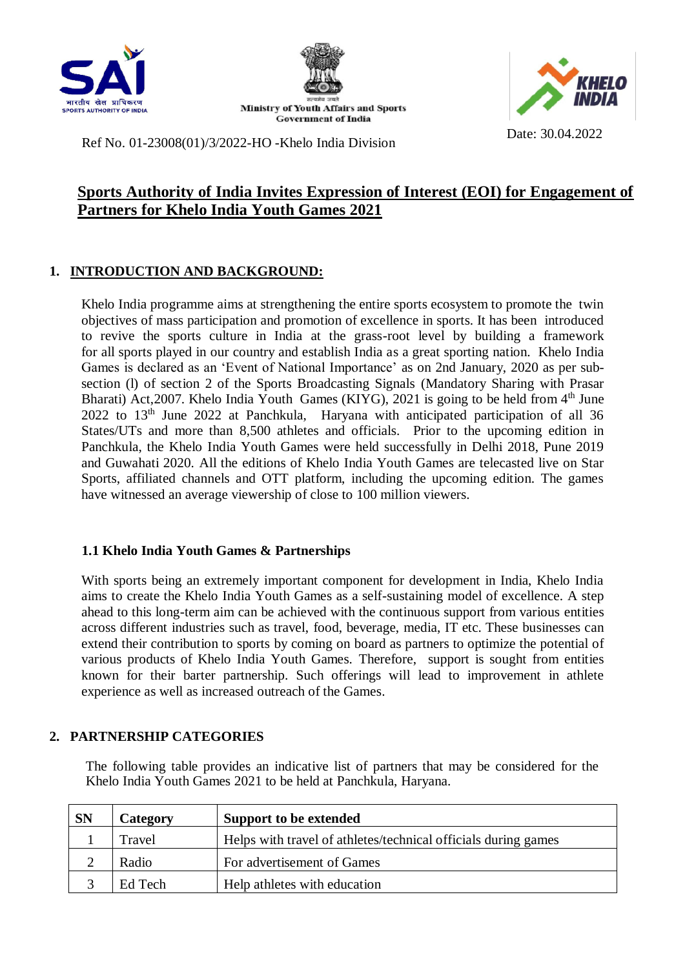





Ref No. 01-23008(01)/3/2022-HO -Khelo India Division Date: 30.04.2022

# **Sports Authority of India Invites Expression of Interest (EOI) for Engagement of Partners for Khelo India Youth Games 2021**

## **1. INTRODUCTION AND BACKGROUND:**

Khelo India programme aims at strengthening the entire sports ecosystem to promote the twin objectives of mass participation and promotion of excellence in sports. It has been introduced to revive the sports culture in India at the grass-root level by building a framework for all sports played in our country and establish India as a great sporting nation. Khelo India Games is declared as an 'Event of National Importance' as on 2nd January, 2020 as per subsection (l) of section 2 of the Sports Broadcasting Signals (Mandatory Sharing with Prasar Bharati) Act, 2007. Khelo India Youth Games (KIYG), 2021 is going to be held from  $4<sup>th</sup>$  June 2022 to 13th June 2022 at Panchkula, Haryana with anticipated participation of all 36 States/UTs and more than 8,500 athletes and officials. Prior to the upcoming edition in Panchkula, the Khelo India Youth Games were held successfully in Delhi 2018, Pune 2019 and Guwahati 2020. All the editions of Khelo India Youth Games are telecasted live on Star Sports, affiliated channels and OTT platform, including the upcoming edition. The games have witnessed an average viewership of close to 100 million viewers.

### **1.1 Khelo India Youth Games & Partnerships**

With sports being an extremely important component for development in India, Khelo India aims to create the Khelo India Youth Games as a self-sustaining model of excellence. A step ahead to this long-term aim can be achieved with the continuous support from various entities across different industries such as travel, food, beverage, media, IT etc. These businesses can extend their contribution to sports by coming on board as partners to optimize the potential of various products of Khelo India Youth Games. Therefore, support is sought from entities known for their barter partnership. Such offerings will lead to improvement in athlete experience as well as increased outreach of the Games.

### **2. PARTNERSHIP CATEGORIES**

The following table provides an indicative list of partners that may be considered for the Khelo India Youth Games 2021 to be held at Panchkula, Haryana.

| <b>SN</b> | Category | Support to be extended                                         |
|-----------|----------|----------------------------------------------------------------|
|           | Travel   | Helps with travel of athletes/technical officials during games |
|           | Radio    | For advertisement of Games                                     |
|           | Ed Tech  | Help athletes with education                                   |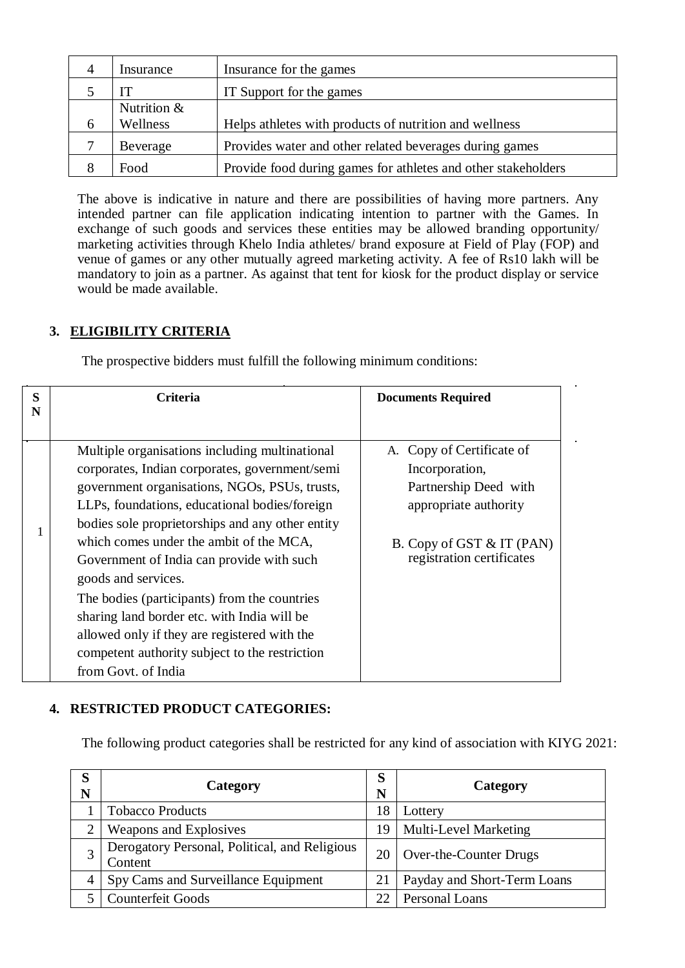| 4            | Insurance     | Insurance for the games                                       |  |
|--------------|---------------|---------------------------------------------------------------|--|
|              | IT            | IT Support for the games                                      |  |
|              | Nutrition $&$ |                                                               |  |
| <sub>0</sub> | Wellness      | Helps athletes with products of nutrition and wellness        |  |
|              | Beverage      | Provides water and other related beverages during games       |  |
| 8            | Food          | Provide food during games for athletes and other stakeholders |  |

The above is indicative in nature and there are possibilities of having more partners. Any intended partner can file application indicating intention to partner with the Games. In exchange of such goods and services these entities may be allowed branding opportunity/ marketing activities through Khelo India athletes/ brand exposure at Field of Play (FOP) and venue of games or any other mutually agreed marketing activity. A fee of Rs10 lakh will be mandatory to join as a partner. As against that tent for kiosk for the product display or service would be made available.

#### **3. ELIGIBILITY CRITERIA**

The prospective bidders must fulfill the following minimum conditions:

| S<br>N | <b>Criteria</b>                                  | <b>Documents Required</b>                              |  |
|--------|--------------------------------------------------|--------------------------------------------------------|--|
|        |                                                  |                                                        |  |
|        | Multiple organisations including multinational   | A. Copy of Certificate of                              |  |
|        | corporates, Indian corporates, government/semi   | Incorporation,                                         |  |
|        | government organisations, NGOs, PSUs, trusts,    | Partnership Deed with<br>appropriate authority         |  |
|        | LLPs, foundations, educational bodies/foreign    |                                                        |  |
|        | bodies sole proprietorships and any other entity |                                                        |  |
|        | which comes under the ambit of the MCA,          | B. Copy of GST & IT (PAN)<br>registration certificates |  |
|        | Government of India can provide with such        |                                                        |  |
|        | goods and services.                              |                                                        |  |
|        | The bodies (participants) from the countries     |                                                        |  |
|        | sharing land border etc. with India will be      |                                                        |  |
|        | allowed only if they are registered with the     |                                                        |  |
|        | competent authority subject to the restriction   |                                                        |  |
|        | from Govt. of India                              |                                                        |  |

### **4. RESTRICTED PRODUCT CATEGORIES:**

The following product categories shall be restricted for any kind of association with KIYG 2021:

| Ø<br>N | Category                                                 |  | Category                     |
|--------|----------------------------------------------------------|--|------------------------------|
|        | <b>Tobacco Products</b>                                  |  | Lottery                      |
|        | Weapons and Explosives                                   |  | <b>Multi-Level Marketing</b> |
|        | Derogatory Personal, Political, and Religious<br>Content |  | Over-the-Counter Drugs       |
| 4      | Spy Cams and Surveillance Equipment                      |  | Payday and Short-Term Loans  |
|        | <b>Counterfeit Goods</b>                                 |  | Personal Loans               |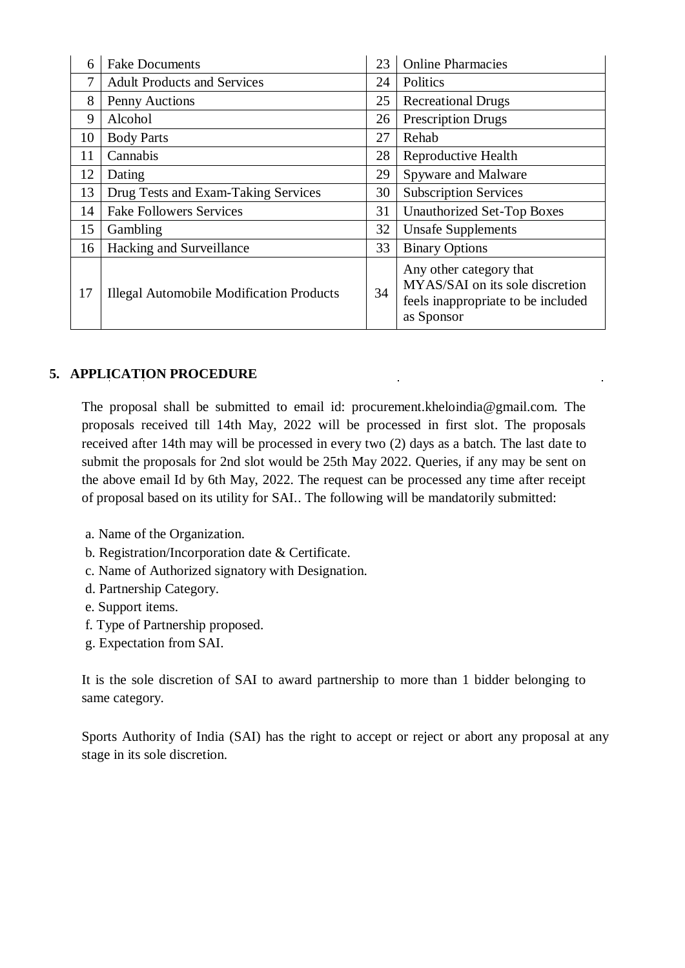| 6  | <b>Fake Documents</b>                           |    | <b>Online Pharmacies</b>                                                                                       |
|----|-------------------------------------------------|----|----------------------------------------------------------------------------------------------------------------|
| 7  | <b>Adult Products and Services</b>              |    | Politics                                                                                                       |
| 8  | Penny Auctions                                  |    | <b>Recreational Drugs</b>                                                                                      |
| 9  | Alcohol                                         |    | <b>Prescription Drugs</b>                                                                                      |
| 10 | <b>Body Parts</b>                               |    | Rehab                                                                                                          |
| 11 | Cannabis                                        |    | Reproductive Health                                                                                            |
| 12 | Dating                                          |    | Spyware and Malware                                                                                            |
| 13 | Drug Tests and Exam-Taking Services             | 30 | <b>Subscription Services</b>                                                                                   |
| 14 | <b>Fake Followers Services</b>                  |    | <b>Unauthorized Set-Top Boxes</b>                                                                              |
| 15 | Gambling                                        |    | <b>Unsafe Supplements</b>                                                                                      |
| 16 | Hacking and Surveillance                        |    | <b>Binary Options</b>                                                                                          |
| 17 | <b>Illegal Automobile Modification Products</b> | 34 | Any other category that<br>MYAS/SAI on its sole discretion<br>feels inappropriate to be included<br>as Sponsor |

## **5. APPLICATION PROCEDURE**

The proposal shall be submitted to email id: procurement.kheloindia@gmail.com. The proposals received till 14th May, 2022 will be processed in first slot. The proposals received after 14th may will be processed in every two (2) days as a batch. The last date to submit the proposals for 2nd slot would be 25th May 2022. Queries, if any may be sent on the above email Id by 6th May, 2022. The request can be processed any time after receipt of proposal based on its utility for SAI.. The following will be mandatorily submitted:

- a. Name of the Organization.
- b. Registration/Incorporation date & Certificate.
- c. Name of Authorized signatory with Designation.
- d. Partnership Category.
- e. Support items.
- f. Type of Partnership proposed.
- g. Expectation from SAI.

It is the sole discretion of SAI to award partnership to more than 1 bidder belonging to same category.

Sports Authority of India (SAI) has the right to accept or reject or abort any proposal at any stage in its sole discretion.